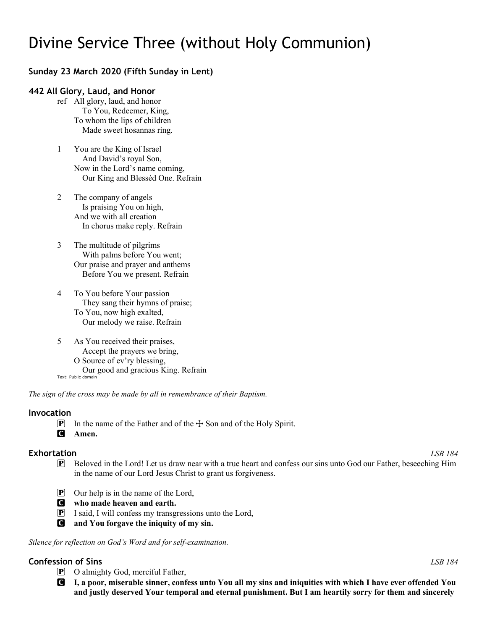# Divine Service Three (without Holy Communion)

# **Sunday 23 March 2020 (Fifth Sunday in Lent)**

## **442 All Glory, Laud, and Honor**

- ref All glory, laud, and honor To You, Redeemer, King, To whom the lips of children Made sweet hosannas ring.
- 1 You are the King of Israel And David's royal Son, Now in the Lord's name coming, Our King and Blessèd One. Refrain
- 2 The company of angels Is praising You on high, And we with all creation In chorus make reply. Refrain
- 3 The multitude of pilgrims With palms before You went; Our praise and prayer and anthems Before You we present. Refrain
- 4 To You before Your passion They sang their hymns of praise; To You, now high exalted, Our melody we raise. Refrain
- 5 As You received their praises, Accept the prayers we bring, O Source of ev'ry blessing, Our good and gracious King. Refrain Text: Public domain

*The sign of the cross may be made by all in remembrance of their Baptism.*

#### **Invocation**

- **P** In the name of the Father and of the  $\div$  Son and of the Holy Spirit.
- C **Amen.**

- **Exhortation** *LSB 184* P Beloved in the Lord! Let us draw near with a true heart and confess our sins unto God our Father, beseeching Him in the name of our Lord Jesus Christ to grant us forgiveness.
	- P Our help is in the name of the Lord,
	- C **who made heaven and earth.**
	- P I said, I will confess my transgressions unto the Lord,
	- C **and You forgave the iniquity of my sin.**

*Silence for reflection on God's Word and for self-examination.*

# **Confession of Sins** *LSB 184*

- P O almighty God, merciful Father,
- C **I, a poor, miserable sinner, confess unto You all my sins and iniquities with which I have ever offended You and justly deserved Your temporal and eternal punishment. But I am heartily sorry for them and sincerely**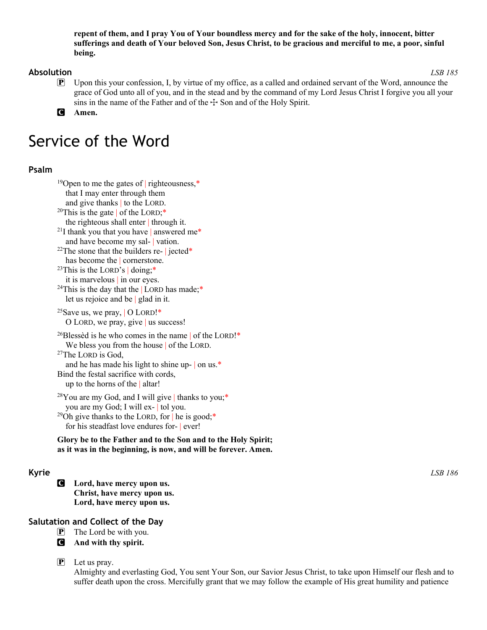**repent of them, and I pray You of Your boundless mercy and for the sake of the holy, innocent, bitter sufferings and death of Your beloved Son, Jesus Christ, to be gracious and merciful to me, a poor, sinful being.**

### **Absolution** *LSB 185*

- P Upon this your confession, I, by virtue of my office, as a called and ordained servant of the Word, announce the grace of God unto all of you, and in the stead and by the command of my Lord Jesus Christ I forgive you all your sins in the name of the Father and of the  $\pm$  Son and of the Holy Spirit.
- C **Amen.**

# Service of the Word

# **Psalm**

```
<sup>19</sup>Open to me the gates of | righteousness,*
  that I may enter through them
  and give thanks | to the LORD. <sup>20</sup>This is the gate | of the LORD;*
  the righteous shall enter | through it.
<sup>21</sup>I thank you that you have | answered me*
  and have become my sal- | vation.
<sup>22</sup>The stone that the builders re-| jected*
  has become the cornerstone.
<sup>23</sup>This is the LORD's | doing;<sup>*</sup>
  it is marvelous | in our eyes.
<sup>24</sup>This is the day that the | LORD has made;*
  let us rejoice and be | glad in it.
<sup>25</sup>Save us, we pray, \vert O LORD!<sup>*</sup>
  O LORD, we pray, give | us success!
<sup>26</sup>Blessèd is he who comes in the name of the LORD!<sup>*</sup>
  We bless you from the house of the LORD.
27The LORD is God,
  and he has made his light to shine up- | on us.*
Bind the festal sacrifice with cords,
  up to the horns of the | altar!
28You are my God, and I will give | thanks to you;*
  you are my God; I will ex- | tol you.
<sup>29</sup>Oh give thanks to the LORD, for \vert he is good;*
  for his steadfast love endures for- | ever!
```
**Glory be to the Father and to the Son and to the Holy Spirit; as it was in the beginning, is now, and will be forever. Amen.** 

C **Lord, have mercy upon us. Christ, have mercy upon us. Lord, have mercy upon us.**

# **Salutation and Collect of the Day**

- $\boxed{\mathbf{P}}$  The Lord be with you.
- C **And with thy spirit.**

 $\left[ \mathbf{P} \right]$  Let us pray.

Almighty and everlasting God, You sent Your Son, our Savior Jesus Christ, to take upon Himself our flesh and to suffer death upon the cross. Mercifully grant that we may follow the example of His great humility and patience

**Kyrie** *LSB 186*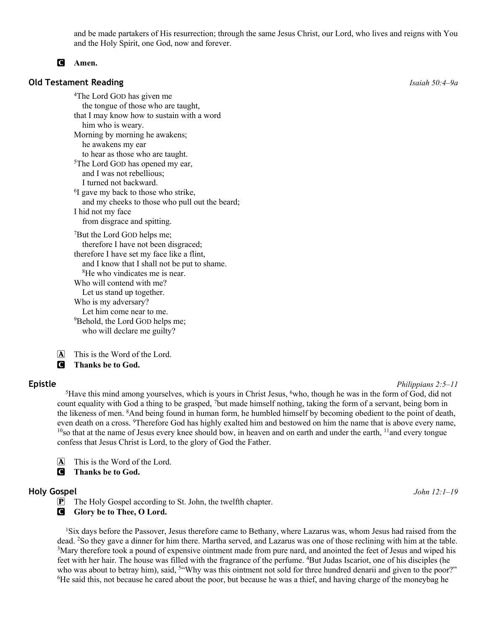and be made partakers of His resurrection; through the same Jesus Christ, our Lord, who lives and reigns with You and the Holy Spirit, one God, now and forever.

#### C **Amen.**

#### **Old Testament Reading** *Isaiah 50:4–9a*

4The Lord GOD has given me the tongue of those who are taught, that I may know how to sustain with a word him who is weary. Morning by morning he awakens; he awakens my ear to hear as those who are taught. <sup>5</sup>The Lord GOD has opened my ear, and I was not rebellious; I turned not backward. <sup>6</sup>I gave my back to those who strike, and my cheeks to those who pull out the beard; I hid not my face from disgrace and spitting. 7 But the Lord GOD helps me; therefore I have not been disgraced; therefore I have set my face like a flint, and I know that I shall not be put to shame. 8 He who vindicates me is near. Who will contend with me? Let us stand up together. Who is my adversary? Let him come near to me. 9 Behold, the Lord GOD helps me; who will declare me guilty?

A This is the Word of the Lord.

C **Thanks be to God.**

**Epistle** *Philippians 2:5–11*

<sup>5</sup>Have this mind among yourselves, which is yours in Christ Jesus,  $6$ who, though he was in the form of God, did not count equality with God a thing to be grasped, 7but made himself nothing, taking the form of a servant, being born in the likeness of men. <sup>8</sup>And being found in human form, he humbled himself by becoming obedient to the point of death, even death on a cross. <sup>9</sup>Therefore God has highly exalted him and bestowed on him the name that is above every name,  $10$ so that at the name of Jesus every knee should bow, in heaven and on earth and under the earth,  $11$ and every tongue confess that Jesus Christ is Lord, to the glory of God the Father.

 $\overline{A}$  This is the Word of the Lord.

C **Thanks be to God.**

#### **Holy Gospel** *John 12:1–19*

P The Holy Gospel according to St. John, the twelfth chapter.

**G** Glory be to Thee, O Lord.

<sup>1</sup>Six days before the Passover, Jesus therefore came to Bethany, where Lazarus was, whom Jesus had raised from the dead. 2So they gave a dinner for him there. Martha served, and Lazarus was one of those reclining with him at the table. <sup>3</sup>Mary therefore took a pound of expensive ointment made from pure nard, and anointed the feet of Jesus and wiped his feet with her hair. The house was filled with the fragrance of the perfume. <sup>4</sup>But Judas Iscariot, one of his disciples (he who was about to betray him), said, <sup>5"</sup>Why was this ointment not sold for three hundred denarii and given to the poor?" <sup>6</sup>He said this, not because he cared about the poor, but because he was a thief, and having charge of the moneybag he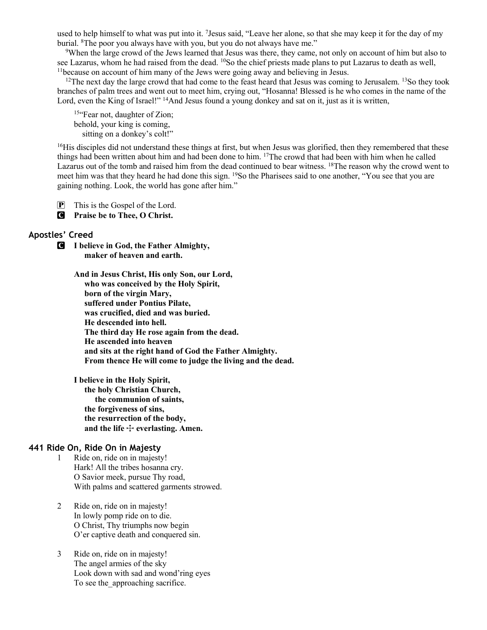used to help himself to what was put into it. 7Jesus said, "Leave her alone, so that she may keep it for the day of my burial. 8The poor you always have with you, but you do not always have me."

<sup>9</sup>When the large crowd of the Jews learned that Jesus was there, they came, not only on account of him but also to see Lazarus, whom he had raised from the dead. <sup>10</sup>So the chief priests made plans to put Lazarus to death as well, 11because on account of him many of the Jews were going away and believing in Jesus.

 $12$ The next day the large crowd that had come to the feast heard that Jesus was coming to Jerusalem.  $13$ So they took branches of palm trees and went out to meet him, crying out, "Hosanna! Blessed is he who comes in the name of the Lord, even the King of Israel!" <sup>14</sup>And Jesus found a young donkey and sat on it, just as it is written,

15"Fear not, daughter of Zion; behold, your king is coming, sitting on a donkey's colt!"

<sup>16</sup>His disciples did not understand these things at first, but when Jesus was glorified, then they remembered that these things had been written about him and had been done to him. 17The crowd that had been with him when he called Lazarus out of the tomb and raised him from the dead continued to bear witness. <sup>18</sup>The reason why the crowd went to meet him was that they heard he had done this sign. <sup>19</sup>So the Pharisees said to one another, "You see that you are gaining nothing. Look, the world has gone after him."

P This is the Gospel of the Lord.

C **Praise be to Thee, O Christ.**

#### **Apostles' Creed**

C **I believe in God, the Father Almighty, maker of heaven and earth.**

> **And in Jesus Christ, His only Son, our Lord, who was conceived by the Holy Spirit, born of the virgin Mary, suffered under Pontius Pilate, was crucified, died and was buried. He descended into hell. The third day He rose again from the dead. He ascended into heaven and sits at the right hand of God the Father Almighty. From thence He will come to judge the living and the dead.**

**I believe in the Holy Spirit, the holy Christian Church, the communion of saints, the forgiveness of sins, the resurrection of the body,** and the life  $+$  everlasting. Amen.

### **441 Ride On, Ride On in Majesty**

- 1 Ride on, ride on in majesty! Hark! All the tribes hosanna cry. O Savior meek, pursue Thy road, With palms and scattered garments strowed.
- 2 Ride on, ride on in majesty! In lowly pomp ride on to die. O Christ, Thy triumphs now begin O'er captive death and conquered sin.
- 3 Ride on, ride on in majesty! The angel armies of the sky Look down with sad and wond'ring eyes To see the approaching sacrifice.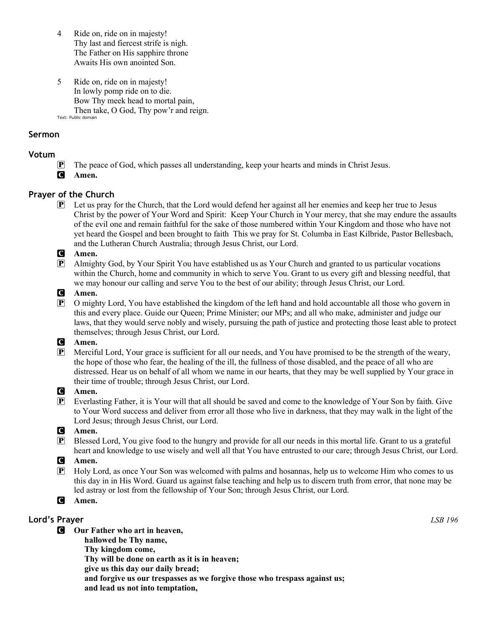- 4 Ride on, ride on in majesty! Thy last and fiercest strife is nigh. The Father on His sapphire throne Awaits His own anointed Son.
- 5 Ride on, ride on in majesty! In lowly pomp ride on to die. Bow Thy meek head to mortal pain, Then take, O God, Thy pow'r and reign. Text: Public domain

### **Sermon**

### **Votum**

- P The peace of God, which passes all understanding, keep your hearts and minds in Christ Jesus.
- C **Amen.**

# **Prayer of the Church**

P Let us pray for the Church, that the Lord would defend her against all her enemies and keep her true to Jesus Christ by the power of Your Word and Spirit: Keep Your Church in Your mercy, that she may endure the assaults of the evil one and remain faithful for the sake of those numbered within Your Kingdom and those who have not yet heard the Gospel and been brought to faith This we pray for St. Columba in East Kilbride, Pastor Bellesbach, and the Lutheran Church Australia; through Jesus Christ, our Lord.

### C **Amen.**

P Almighty God, by Your Spirit You have established us as Your Church and granted to us particular vocations within the Church, home and community in which to serve You. Grant to us every gift and blessing needful, that we may honour our calling and serve You to the best of our ability; through Jesus Christ, our Lord.

#### C **Amen.**

P O mighty Lord, You have established the kingdom of the left hand and hold accountable all those who govern in this and every place. Guide our Queen; Prime Minister; our MPs; and all who make, administer and judge our laws, that they would serve nobly and wisely, pursuing the path of justice and protecting those least able to protect themselves; through Jesus Christ, our Lord.

#### C **Amen.**

P Merciful Lord, Your grace is sufficient for all our needs, and You have promised to be the strength of the weary, the hope of those who fear, the healing of the ill, the fullness of those disabled, and the peace of all who are distressed. Hear us on behalf of all whom we name in our hearts, that they may be well supplied by Your grace in their time of trouble; through Jesus Christ, our Lord.

#### C **Amen.**

P Everlasting Father, it is Your will that all should be saved and come to the knowledge of Your Son by faith. Give to Your Word success and deliver from error all those who live in darkness, that they may walk in the light of the Lord Jesus; through Jesus Christ, our Lord.

#### C **Amen.**

P Blessed Lord, You give food to the hungry and provide for all our needs in this mortal life. Grant to us a grateful heart and knowledge to use wisely and well all that You have entrusted to our care; through Jesus Christ, our Lord.

#### C **Amen.**

P Holy Lord, as once Your Son was welcomed with palms and hosannas, help us to welcome Him who comes to us this day in in His Word. Guard us against false teaching and help us to discern truth from error, that none may be led astray or lost from the fellowship of Your Son; through Jesus Christ, our Lord.

#### C **Amen.**

# **Lord's Prayer** *LSB 196*

- C **Our Father who art in heaven,**
	- **hallowed be Thy name,**
	- **Thy kingdom come,**
	- **Thy will be done on earth as it is in heaven;**
	- **give us this day our daily bread;**
	- **and forgive us our trespasses as we forgive those who trespass against us;**
	- **and lead us not into temptation,**